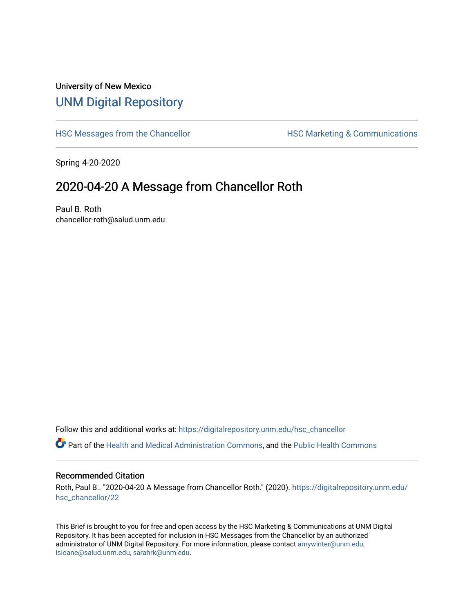## University of New Mexico [UNM Digital Repository](https://digitalrepository.unm.edu/)

[HSC Messages from the Chancellor](https://digitalrepository.unm.edu/hsc_chancellor) **HSC Marketing & Communications** 

Spring 4-20-2020

## 2020-04-20 A Message from Chancellor Roth

Paul B. Roth chancellor-roth@salud.unm.edu

Follow this and additional works at: [https://digitalrepository.unm.edu/hsc\\_chancellor](https://digitalrepository.unm.edu/hsc_chancellor?utm_source=digitalrepository.unm.edu%2Fhsc_chancellor%2F22&utm_medium=PDF&utm_campaign=PDFCoverPages) 

Part of the [Health and Medical Administration Commons](http://network.bepress.com/hgg/discipline/663?utm_source=digitalrepository.unm.edu%2Fhsc_chancellor%2F22&utm_medium=PDF&utm_campaign=PDFCoverPages), and the [Public Health Commons](http://network.bepress.com/hgg/discipline/738?utm_source=digitalrepository.unm.edu%2Fhsc_chancellor%2F22&utm_medium=PDF&utm_campaign=PDFCoverPages) 

## Recommended Citation

Roth, Paul B.. "2020-04-20 A Message from Chancellor Roth." (2020). [https://digitalrepository.unm.edu/](https://digitalrepository.unm.edu/hsc_chancellor/22?utm_source=digitalrepository.unm.edu%2Fhsc_chancellor%2F22&utm_medium=PDF&utm_campaign=PDFCoverPages) [hsc\\_chancellor/22](https://digitalrepository.unm.edu/hsc_chancellor/22?utm_source=digitalrepository.unm.edu%2Fhsc_chancellor%2F22&utm_medium=PDF&utm_campaign=PDFCoverPages) 

This Brief is brought to you for free and open access by the HSC Marketing & Communications at UNM Digital Repository. It has been accepted for inclusion in HSC Messages from the Chancellor by an authorized administrator of UNM Digital Repository. For more information, please contact [amywinter@unm.edu,](mailto:amywinter@unm.edu,%20lsloane@salud.unm.edu,%20sarahrk@unm.edu) [lsloane@salud.unm.edu, sarahrk@unm.edu.](mailto:amywinter@unm.edu,%20lsloane@salud.unm.edu,%20sarahrk@unm.edu)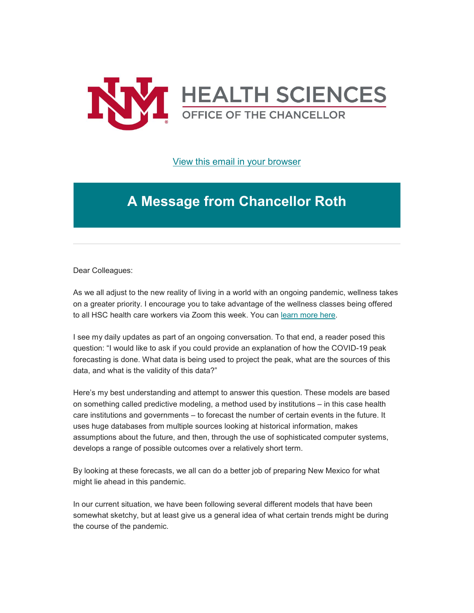

[View this email in your browser](https://mailchi.mp/b37237f2b2c3/message-from-the-chancellor-coronavirus-4392376?e=b4bbfca2c0)

## **A Message from Chancellor Roth**

Dear Colleagues:

As we all adjust to the new reality of living in a world with an ongoing pandemic, wellness takes on a greater priority. I encourage you to take advantage of the wellness classes being offered to all HSC health care workers via Zoom this week. You can [learn more here.](https://unm.us19.list-manage.com/track/click?u=59ce53c1a4dedb490bac78648&id=80b273fb36&e=b4bbfca2c0)

I see my daily updates as part of an ongoing conversation. To that end, a reader posed this question: "I would like to ask if you could provide an explanation of how the COVID-19 peak forecasting is done. What data is being used to project the peak, what are the sources of this data, and what is the validity of this data?"

Here's my best understanding and attempt to answer this question. These models are based on something called predictive modeling, a method used by institutions – in this case health care institutions and governments – to forecast the number of certain events in the future. It uses huge databases from multiple sources looking at historical information, makes assumptions about the future, and then, through the use of sophisticated computer systems, develops a range of possible outcomes over a relatively short term.

By looking at these forecasts, we all can do a better job of preparing New Mexico for what might lie ahead in this pandemic.

In our current situation, we have been following several different models that have been somewhat sketchy, but at least give us a general idea of what certain trends might be during the course of the pandemic.